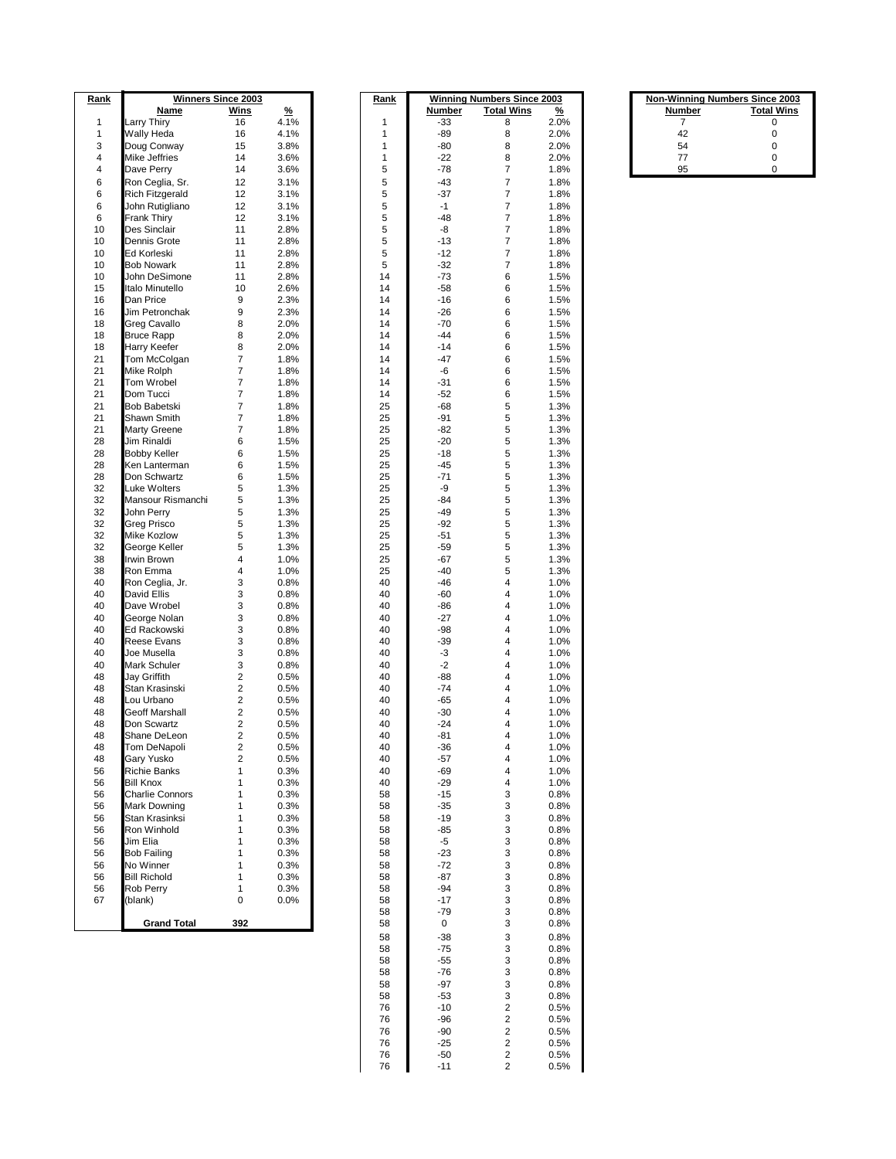| Rank         |                                 | <b>Winners Since 2003</b> |               | Rank           |             | <b>Winning Numbers Since 2003</b> |               |        | <b>Non-Winning Numbers Since 2003</b> |
|--------------|---------------------------------|---------------------------|---------------|----------------|-------------|-----------------------------------|---------------|--------|---------------------------------------|
|              | Name                            | Wins                      | $\frac{9}{6}$ |                | Number      | <b>Total Wins</b>                 | $\frac{9}{6}$ | Number | <b>Total Wins</b>                     |
| $\mathbf{1}$ | Larry Thiry                     | 16                        | 4.1%          | 1              | -33         | 8                                 | 2.0%          | 7      | 0                                     |
| $\mathbf{1}$ | Wally Heda                      | 16                        | 4.1%          | $\mathbf{1}$   | $-89$       | 8                                 | 2.0%          | 42     | $\mathbf 0$                           |
| 3            | Doug Conway                     | 15                        | 3.8%          | $\mathbf{1}$   | -80         | 8                                 | 2.0%          | 54     | $\mathbf 0$                           |
| 4            | Mike Jeffries                   | 14                        | 3.6%          | $\mathbf{1}$   | $-22$       | 8                                 | 2.0%          | 77     | $\pmb{0}$                             |
| 4            | Dave Perry                      | 14                        | 3.6%          | 5              | $-78$       | $\overline{7}$                    | 1.8%          | 95     | $\mathbf 0$                           |
| 6            | Ron Ceglia, Sr.                 | 12                        | 3.1%          | 5              | $-43$       | $\overline{7}$                    | 1.8%          |        |                                       |
| 6            | <b>Rich Fitzgerald</b>          | 12                        | 3.1%          | 5              | $-37$       | $\overline{7}$                    | 1.8%          |        |                                       |
| 6            | John Rutigliano                 | 12                        | 3.1%          | 5              | $-1$        | $\overline{7}$                    | 1.8%          |        |                                       |
| 6            | Frank Thiry                     | 12                        | 3.1%          | 5              | $-48$       | $\overline{7}$                    | 1.8%          |        |                                       |
| 10           | Des Sinclair                    | 11                        | 2.8%          | $\overline{5}$ | -8          | $\overline{7}$                    | 1.8%          |        |                                       |
| 10           | Dennis Grote                    | 11                        | 2.8%          | 5              | $-13$       | $\overline{7}$                    | 1.8%          |        |                                       |
| 10           | Ed Korleski                     | 11                        | 2.8%          | 5              | $-12$       | $\overline{7}$                    | 1.8%          |        |                                       |
| 10           | <b>Bob Nowark</b>               | 11                        | 2.8%          | 5              | $-32$       | $\overline{7}$                    | 1.8%          |        |                                       |
| 10           | John DeSimone                   | 11                        | 2.8%          | 14             | $-73$       | 6                                 | 1.5%          |        |                                       |
| 15           | Italo Minutello                 | 10                        | 2.6%          | 14             | $-58$       | 6                                 | 1.5%          |        |                                       |
| 16           | Dan Price                       | 9                         | 2.3%          | 14             | $-16$       | 6                                 | 1.5%          |        |                                       |
| 16           | Jim Petronchak                  | 9                         | 2.3%          | 14             | $-26$       | 6                                 | 1.5%          |        |                                       |
| 18           | Greg Cavallo                    | 8                         | 2.0%          | 14             | $-70$       | 6                                 | 1.5%          |        |                                       |
| 18           | <b>Bruce Rapp</b>               | 8                         | 2.0%          | 14             | $-44$       | 6                                 | 1.5%          |        |                                       |
| 18           | Harry Keefer                    | 8                         | 2.0%          | 14             | $-14$       | 6                                 | 1.5%          |        |                                       |
| 21           | Tom McColgan                    | $\overline{7}$            | 1.8%          | 14             | $-47$       | 6                                 | 1.5%          |        |                                       |
| 21           | Mike Rolph                      | 7                         | 1.8%          | 14             | -6          | 6                                 | 1.5%          |        |                                       |
| 21           | Tom Wrobel                      | $\overline{7}$            | 1.8%          | 14             | $-31$       | 6                                 | 1.5%          |        |                                       |
| 21           | Dom Tucci                       | $\overline{7}$            | 1.8%          | 14             | $-52$       | 6                                 | 1.5%          |        |                                       |
| 21           | Bob Babetski                    | 7                         | 1.8%          | 25             | $-68$       | 5                                 | 1.3%          |        |                                       |
| 21           | Shawn Smith                     | $\overline{7}$            | 1.8%          | 25             | $-91$       | 5                                 | 1.3%          |        |                                       |
| 21           | <b>Marty Greene</b>             | 7                         | 1.8%          | 25             | $-82$       | 5                                 | 1.3%          |        |                                       |
| 28           | Jim Rinaldi                     | 6                         | 1.5%          | 25             | $-20$       | 5                                 | 1.3%          |        |                                       |
| 28           | <b>Bobby Keller</b>             | 6                         | 1.5%          | 25             | $-18$       | 5                                 | 1.3%          |        |                                       |
| 28           | Ken Lanterman                   | 6                         | 1.5%          | 25             | $-45$       | 5                                 | 1.3%          |        |                                       |
| 28<br>32     | Don Schwartz<br>Luke Wolters    | 6<br>5                    | 1.5%          | 25<br>25       | $-71$<br>-9 | 5<br>5                            | 1.3%          |        |                                       |
|              |                                 |                           | 1.3%          | 25             | $-84$       | 5                                 | 1.3%          |        |                                       |
| 32<br>32     | Mansour Rismanchi<br>John Perry | 5<br>5                    | 1.3%<br>1.3%  | 25             | $-49$       | 5                                 | 1.3%<br>1.3%  |        |                                       |
| 32           | Greg Prisco                     | 5                         | 1.3%          | 25             | $-92$       | 5                                 |               |        |                                       |
| 32           | Mike Kozlow                     | 5                         | 1.3%          | 25             | -51         | 5                                 | 1.3%<br>1.3%  |        |                                       |
| 32           | George Keller                   | 5                         | 1.3%          | 25             | $-59$       | 5                                 | 1.3%          |        |                                       |
| 38           | Irwin Brown                     | 4                         | 1.0%          | 25             | $-67$       | 5                                 | 1.3%          |        |                                       |
| 38           | Ron Emma                        | 4                         | 1.0%          | 25             | $-40$       | 5                                 | 1.3%          |        |                                       |
| 40           | Ron Ceglia, Jr.                 | 3                         | 0.8%          | 40             | $-46$       | 4                                 | 1.0%          |        |                                       |
| 40           | David Ellis                     | 3                         | 0.8%          | 40             | $-60$       | 4                                 | 1.0%          |        |                                       |
| 40           | Dave Wrobel                     | 3                         | 0.8%          | 40             | $-86$       | 4                                 | 1.0%          |        |                                       |
| 40           | George Nolan                    | 3                         | 0.8%          | 40             | $-27$       | 4                                 | 1.0%          |        |                                       |
| 40           | Ed Rackowski                    | 3                         | 0.8%          | 40             | $-98$       | 4                                 | 1.0%          |        |                                       |
| 40           | <b>Reese Evans</b>              | 3                         | 0.8%          | 40             | $-39$       | 4                                 | 1.0%          |        |                                       |
| 40           | Joe Musella                     | 3                         | 0.8%          | 40             | $-3$        | 4                                 | 1.0%          |        |                                       |
| 40           | Mark Schuler                    | 3                         | 0.8%          | 40             | $-2$        | 4                                 | 1.0%          |        |                                       |
| 48           | Jay Griffith                    | $\sqrt{2}$                | 0.5%          | 40             | $-88$       | 4                                 | 1.0%          |        |                                       |
| 48           | Stan Krasinski                  | $\sqrt{2}$                | 0.5%          | 40             | $-74$       | 4                                 | 1.0%          |        |                                       |
| 48           | Lou Urbano                      | $\overline{\mathbf{c}}$   | 0.5%          | 40             | $-65$       | 4                                 | 1.0%          |        |                                       |
| 48           | Geoff Marshall                  | $\sqrt{2}$                | 0.5%          | 40             | $-30$       | 4                                 | 1.0%          |        |                                       |
| 48           | Don Scwartz                     | $\sqrt{2}$                | 0.5%          | 40             | $-24$       | 4                                 | 1.0%          |        |                                       |
| 48           | Shane DeLeon                    | $\overline{2}$            | 0.5%          | 40             | $-81$       | 4                                 | 1.0%          |        |                                       |
| 48           | Tom DeNapoli                    | $\overline{\mathbf{c}}$   | 0.5%          | 40             | $-36$       | 4                                 | 1.0%          |        |                                       |
| 48           | Gary Yusko                      | $\sqrt{2}$                | 0.5%          | 40             | $-57$       | 4                                 | 1.0%          |        |                                       |
| 56           | <b>Richie Banks</b>             | $\mathbf{1}$              | 0.3%          | 40             | $-69$       | 4                                 | 1.0%          |        |                                       |
| 56           | <b>Bill Knox</b>                | $\mathbf{1}$              | 0.3%          | 40             | $-29$       | 4                                 | 1.0%          |        |                                       |
| 56           | <b>Charlie Connors</b>          | 1                         | 0.3%          | 58             | $-15$       | 3                                 | 0.8%          |        |                                       |
| 56           | Mark Downing                    | $\mathbf{1}$              | 0.3%          | 58             | $-35$       | 3                                 | 0.8%          |        |                                       |
| 56           | Stan Krasinksi                  | 1                         | 0.3%          | 58             | $-19$       | $\mathsf 3$                       | 0.8%          |        |                                       |
| 56           | Ron Winhold                     | 1                         | 0.3%          | 58             | $-85$       | 3                                 | 0.8%          |        |                                       |
| 56           | Jim Elia                        | 1                         | 0.3%          | 58             | $-5$        | 3                                 | 0.8%          |        |                                       |
| 56           | <b>Bob Failing</b>              | 1                         | 0.3%          | 58             | $-23$       | 3                                 | 0.8%          |        |                                       |
| 56           | No Winner                       | $\mathbf{1}$              | 0.3%          | 58             | $-72$       | $\mathsf 3$                       | 0.8%          |        |                                       |
| 56           | <b>Bill Richold</b>             | $\mathbf{1}$              | 0.3%          | 58             | $-87$       | $\mathsf 3$                       | 0.8%          |        |                                       |
| 56           | Rob Perry                       | $\mathbf{1}$              | 0.3%          | 58             | $-94$       | 3                                 | 0.8%          |        |                                       |
| 67           | (blank)                         | $\mathbf 0$               | 0.0%          | 58             | $-17$       | $\mathsf 3$                       | 0.8%          |        |                                       |
|              |                                 |                           |               | 58             | $-79$       | 3                                 | 0.8%          |        |                                       |
|              | <b>Grand Total</b>              | 392                       |               | 58             | $\mathbf 0$ | 3                                 | 0.8%          |        |                                       |
|              |                                 |                           |               | 58             | $-38$       | $\mathsf 3$                       | 0.8%          |        |                                       |
|              |                                 |                           |               | 58             | $-75$       | 3                                 | 0.8%          |        |                                       |
|              |                                 |                           |               | 58             | $-55$       | $\mathsf 3$                       | 0.8%          |        |                                       |
|              |                                 |                           |               | 58             | $-76$       | 3                                 | 0.8%          |        |                                       |
|              |                                 |                           |               | 58             | $-97$       | 3                                 | 0.8%          |        |                                       |

| <b>Non-Winning Numbers Since 2003</b> |                   |  |  |  |  |  |
|---------------------------------------|-------------------|--|--|--|--|--|
| <b>Number</b>                         | <b>Total Wins</b> |  |  |  |  |  |
|                                       | ი                 |  |  |  |  |  |
| 42                                    | ŋ                 |  |  |  |  |  |
| 54                                    | ŋ                 |  |  |  |  |  |
| 77                                    | ŋ                 |  |  |  |  |  |
| 95                                    |                   |  |  |  |  |  |

 $0.8%$  $0.5%$ 

 $0.5%$ 

 $\begin{array}{cccccc} 58 & & -97 & & 3 & & 0.8\% \\ 58 & & -53 & & 3 & & 0.8\% \\ 76 & & -10 & & 2 & & 0.5\% \\ 76 & & -96 & & 2 & & 0.5\% \\ 76 & & -90 & & 2 & & 0.5\% \\ 76 & & -25 & & 2 & & 0.5\% \\ 76 & & -50 & & 2 & & 0.5\% \\ 76 & & -11 & & 2 & & 0.5\% \end{array}$ 

 -90 2 0.5% -25 2 0.5%

 $\begin{array}{cccc} -96 & 2 & 0.5\% \\ -90 & 2 & 0.5\% \\ -25 & 2 & 0.5\% \\ -50 & 2 & 0.5\% \\ -11 & 2 & 0.5\% \end{array}$ 

-50 2 0.5%<br>-11 2 0.5%